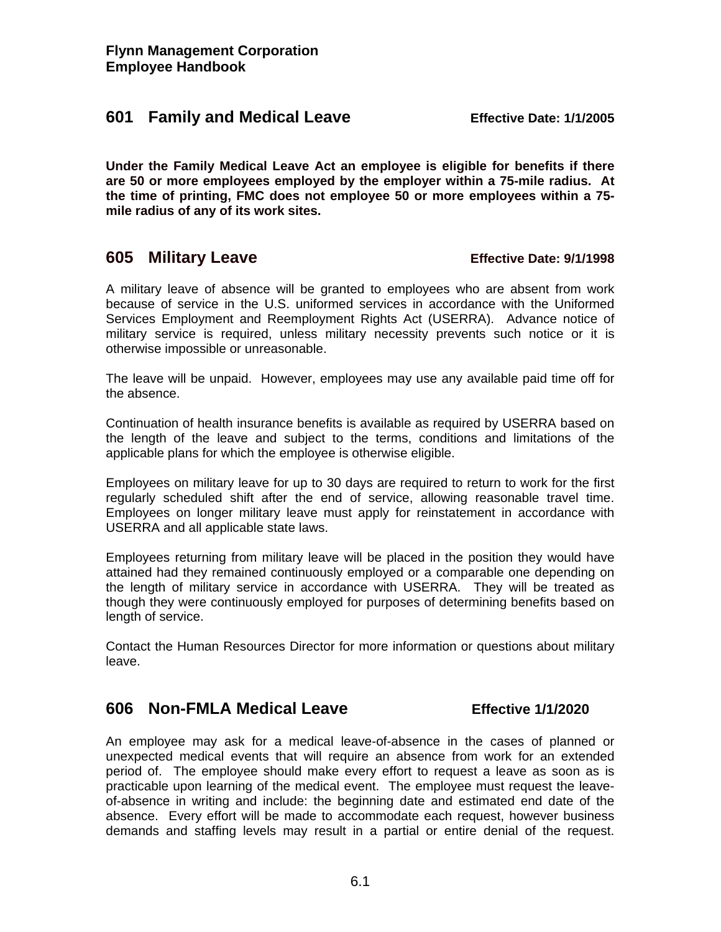### **601 Family and Medical Leave Effective Date: 1/1/2005**

**Under the Family Medical Leave Act an employee is eligible for benefits if there are 50 or more employees employed by the employer within a 75-mile radius. At the time of printing, FMC does not employee 50 or more employees within a 75 mile radius of any of its work sites.** 

# **605 Military Leave Effective Date: 9/1/1998**

A military leave of absence will be granted to employees who are absent from work because of service in the U.S. uniformed services in accordance with the Uniformed Services Employment and Reemployment Rights Act (USERRA). Advance notice of military service is required, unless military necessity prevents such notice or it is otherwise impossible or unreasonable.

The leave will be unpaid. However, employees may use any available paid time off for the absence.

Continuation of health insurance benefits is available as required by USERRA based on the length of the leave and subject to the terms, conditions and limitations of the applicable plans for which the employee is otherwise eligible.

Employees on military leave for up to 30 days are required to return to work for the first regularly scheduled shift after the end of service, allowing reasonable travel time. Employees on longer military leave must apply for reinstatement in accordance with USERRA and all applicable state laws.

Employees returning from military leave will be placed in the position they would have attained had they remained continuously employed or a comparable one depending on the length of military service in accordance with USERRA. They will be treated as though they were continuously employed for purposes of determining benefits based on length of service.

Contact the Human Resources Director for more information or questions about military leave.

## **606 Non-FMLA Medical Leave Effective 1/1/2020**

An employee may ask for a medical leave-of-absence in the cases of planned or unexpected medical events that will require an absence from work for an extended period of. The employee should make every effort to request a leave as soon as is practicable upon learning of the medical event. The employee must request the leaveof-absence in writing and include: the beginning date and estimated end date of the absence. Every effort will be made to accommodate each request, however business demands and staffing levels may result in a partial or entire denial of the request.